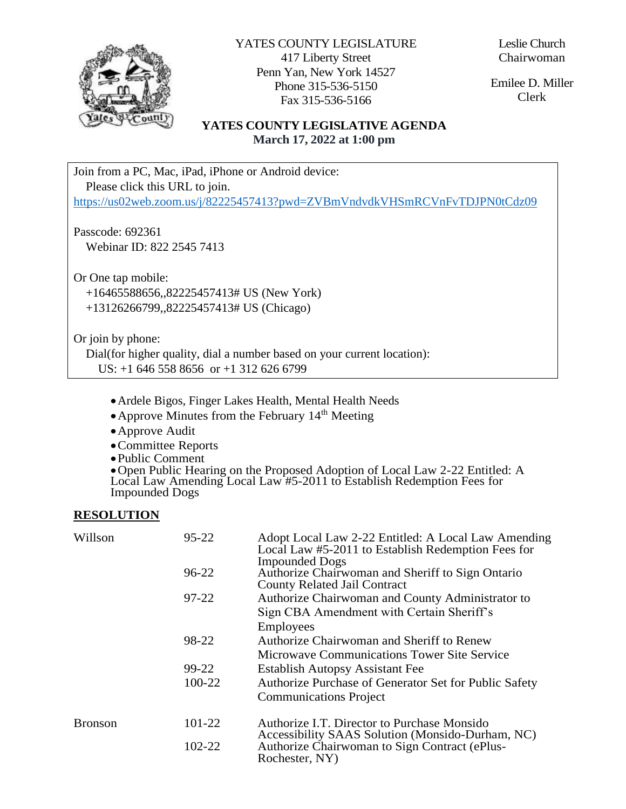

YATES COUNTY LEGISLATURE 417 Liberty Street Penn Yan, New York 14527 Phone 315-536-5150 Fax 315-536-5166

Leslie Church Chairwoman

Emilee D. Miller Clerk

# **YATES COUNTY LEGISLATIVE AGENDA March 17, 2022 at 1:00 pm**

Join from a PC, Mac, iPad, iPhone or Android device: Please click this URL to join.

<https://us02web.zoom.us/j/82225457413?pwd=ZVBmVndvdkVHSmRCVnFvTDJPN0tCdz09>

Passcode: 692361 Webinar ID: 822 2545 7413

Or One tap mobile:

 +16465588656,,82225457413# US (New York) +13126266799,,82225457413# US (Chicago)

Or join by phone:

 Dial(for higher quality, dial a number based on your current location): US: +1 646 558 8656 or +1 312 626 6799

- Ardele Bigos, Finger Lakes Health, Mental Health Needs
- Approve Minutes from the February  $14<sup>th</sup>$  Meeting
- Approve Audit
- Committee Reports
- Public Comment

Open Public Hearing on the Proposed Adoption of Local Law 2-22 Entitled: A Local Law Amending Local Law #5-2011 to Establish Redemption Fees for Impounded Dogs

#### **RESOLUTION**

| Willson        | $95 - 22$ | Adopt Local Law 2-22 Entitled: A Local Law Amending<br>Local Law #5-2011 to Establish Redemption Fees for<br><b>Impounded Dogs</b> |
|----------------|-----------|------------------------------------------------------------------------------------------------------------------------------------|
|                | 96-22     | Authorize Chairwoman and Sheriff to Sign Ontario<br><b>County Related Jail Contract</b>                                            |
|                | 97-22     | Authorize Chairwoman and County Administrator to                                                                                   |
|                |           | Sign CBA Amendment with Certain Sheriff's                                                                                          |
|                |           | <b>Employees</b>                                                                                                                   |
|                | 98-22     | Authorize Chairwoman and Sheriff to Renew                                                                                          |
|                |           | Microwave Communications Tower Site Service                                                                                        |
|                | 99-22     | <b>Establish Autopsy Assistant Fee</b>                                                                                             |
|                | 100-22    | Authorize Purchase of Generator Set for Public Safety                                                                              |
|                |           | <b>Communications Project</b>                                                                                                      |
| <b>Bronson</b> | 101-22    | Authorize I.T. Director to Purchase Monsido<br>Accessibility SAAS Solution (Monsido-Durham, NC)                                    |
|                | 102-22    | Authorize Chairwoman to Sign Contract (ePlus-<br>Rochester, NY)                                                                    |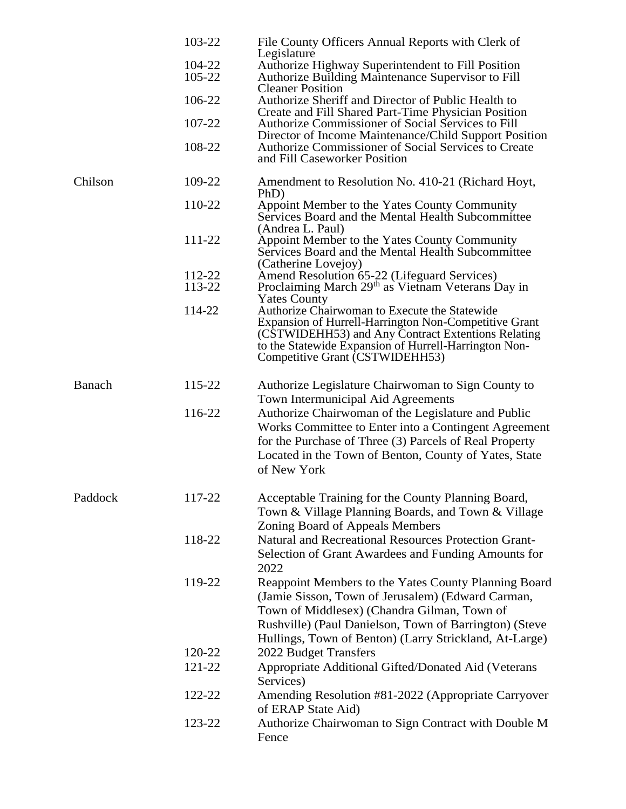|         | 103-22<br>104-22<br>105-22<br>106-22<br>107-22<br>108-22 | File County Officers Annual Reports with Clerk of<br>Legislature<br>Authorize Highway Superintendent to Fill Position<br><b>Authorize Building Maintenance Supervisor to Fill</b><br><b>Cleaner Position</b><br>Authorize Sheriff and Director of Public Health to<br>Create and Fill Shared Part-Time Physician Position<br>Authorize Commissioner of Social Services to Fill<br>Director of Income Maintenance/Child Support Position<br>Authorize Commissioner of Social Services to Create<br>and Fill Caseworker Position |
|---------|----------------------------------------------------------|--------------------------------------------------------------------------------------------------------------------------------------------------------------------------------------------------------------------------------------------------------------------------------------------------------------------------------------------------------------------------------------------------------------------------------------------------------------------------------------------------------------------------------|
| Chilson | 109-22                                                   | Amendment to Resolution No. 410-21 (Richard Hoyt,<br>PhD)                                                                                                                                                                                                                                                                                                                                                                                                                                                                      |
|         | 110-22                                                   | Appoint Member to the Yates County Community<br>Services Board and the Mental Health Subcommittee<br>(Andrea L. Paul)                                                                                                                                                                                                                                                                                                                                                                                                          |
|         | 111-22                                                   | Appoint Member to the Yates County Community<br>Services Board and the Mental Health Subcommittee<br>(Catherine Lovejoy)                                                                                                                                                                                                                                                                                                                                                                                                       |
|         | 112-22<br>113-22                                         | Amend Resolution 65-22 (Lifeguard Services)<br>Proclaiming March 29 <sup>th</sup> as Vietnam Veterans Day in<br><b>Yates County</b>                                                                                                                                                                                                                                                                                                                                                                                            |
|         | 114-22                                                   | Authorize Chairwoman to Execute the Statewide<br>Expansion of Hurrell-Harrington Non-Competitive Grant<br>(CSTWIDEHH53) and Any Contract Extentions Relating<br>to the Statewide Expansion of Hurrell-Harrington Non-<br>Competitive Grant (CSTWIDEHH53)                                                                                                                                                                                                                                                                       |
| Banach  | 115-22                                                   | Authorize Legislature Chairwoman to Sign County to<br>Town Intermunicipal Aid Agreements                                                                                                                                                                                                                                                                                                                                                                                                                                       |
|         | 116-22                                                   | Authorize Chairwoman of the Legislature and Public<br>Works Committee to Enter into a Contingent Agreement<br>for the Purchase of Three (3) Parcels of Real Property<br>Located in the Town of Benton, County of Yates, State<br>of New York                                                                                                                                                                                                                                                                                   |
| Paddock | 117-22                                                   | Acceptable Training for the County Planning Board,<br>Town & Village Planning Boards, and Town & Village<br>Zoning Board of Appeals Members                                                                                                                                                                                                                                                                                                                                                                                    |
|         | 118-22                                                   | Natural and Recreational Resources Protection Grant-<br>Selection of Grant Awardees and Funding Amounts for<br>2022                                                                                                                                                                                                                                                                                                                                                                                                            |
|         | 119-22                                                   | Reappoint Members to the Yates County Planning Board<br>(Jamie Sisson, Town of Jerusalem) (Edward Carman,<br>Town of Middlesex) (Chandra Gilman, Town of<br>Rushville) (Paul Danielson, Town of Barrington) (Steve<br>Hullings, Town of Benton) (Larry Strickland, At-Large)                                                                                                                                                                                                                                                   |
|         | 120-22                                                   | 2022 Budget Transfers                                                                                                                                                                                                                                                                                                                                                                                                                                                                                                          |
|         | 121-22                                                   | Appropriate Additional Gifted/Donated Aid (Veterans<br>Services)                                                                                                                                                                                                                                                                                                                                                                                                                                                               |
|         | 122-22                                                   | Amending Resolution #81-2022 (Appropriate Carryover<br>of ERAP State Aid)                                                                                                                                                                                                                                                                                                                                                                                                                                                      |
|         | 123-22                                                   | Authorize Chairwoman to Sign Contract with Double M<br>Fence                                                                                                                                                                                                                                                                                                                                                                                                                                                                   |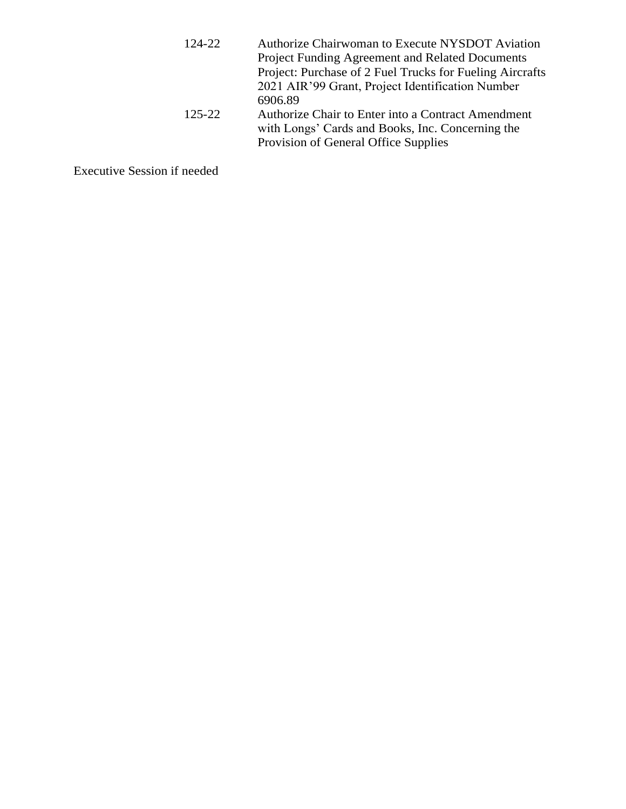- 124-22 Authorize Chairwoman to Execute NYSDOT Aviation Project Funding Agreement and Related Documents Project: Purchase of 2 Fuel Trucks for Fueling Aircrafts 2021 AIR'99 Grant, Project Identification Number 6906.89 125-22 Authorize Chair to Enter into a Contract Amendment
	- with Longs' Cards and Books, Inc. Concerning the Provision of General Office Supplies

Executive Session if needed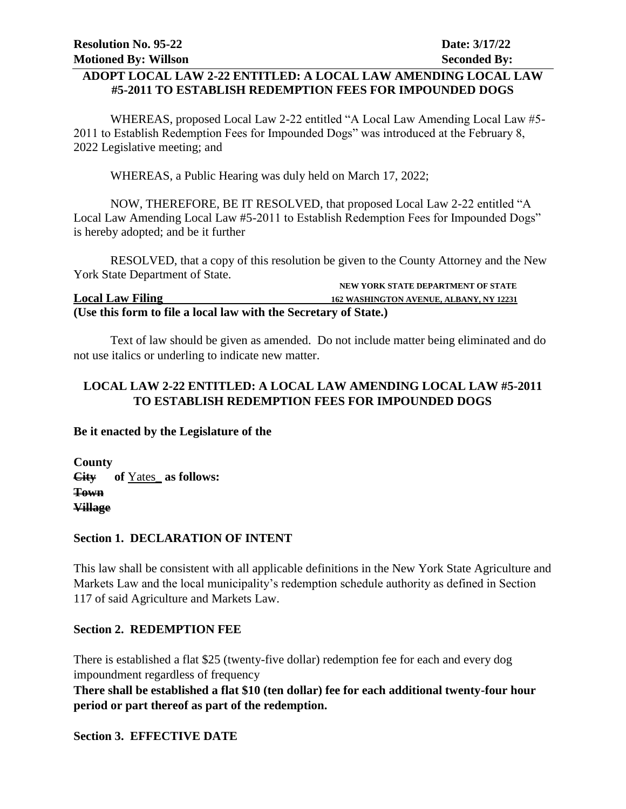### **ADOPT LOCAL LAW 2-22 ENTITLED: A LOCAL LAW AMENDING LOCAL LAW #5-2011 TO ESTABLISH REDEMPTION FEES FOR IMPOUNDED DOGS**

WHEREAS, proposed Local Law 2-22 entitled "A Local Law Amending Local Law #5- 2011 to Establish Redemption Fees for Impounded Dogs" was introduced at the February 8, 2022 Legislative meeting; and

WHEREAS, a Public Hearing was duly held on March 17, 2022;

NOW, THEREFORE, BE IT RESOLVED, that proposed Local Law 2-22 entitled "A Local Law Amending Local Law #5-2011 to Establish Redemption Fees for Impounded Dogs" is hereby adopted; and be it further

RESOLVED, that a copy of this resolution be given to the County Attorney and the New York State Department of State.

|                                                                  | NEW YORK STATE DEPARTMENT OF STATE             |  |
|------------------------------------------------------------------|------------------------------------------------|--|
| <b>Local Law Filing</b>                                          | <b>162 WASHINGTON AVENUE, ALBANY, NY 12231</b> |  |
| (Use this form to file a local law with the Secretary of State.) |                                                |  |

Text of law should be given as amended. Do not include matter being eliminated and do not use italics or underling to indicate new matter.

# **LOCAL LAW 2-22 ENTITLED: A LOCAL LAW AMENDING LOCAL LAW #5-2011 TO ESTABLISH REDEMPTION FEES FOR IMPOUNDED DOGS**

## **Be it enacted by the Legislature of the**

**County City of** Yates\_ **as follows: Town Village** 

#### **Section 1. DECLARATION OF INTENT**

This law shall be consistent with all applicable definitions in the New York State Agriculture and Markets Law and the local municipality's redemption schedule authority as defined in Section 117 of said Agriculture and Markets Law.

## **Section 2. REDEMPTION FEE**

There is established a flat \$25 (twenty-five dollar) redemption fee for each and every dog impoundment regardless of frequency

**There shall be established a flat \$10 (ten dollar) fee for each additional twenty-four hour period or part thereof as part of the redemption.**

**Section 3. EFFECTIVE DATE**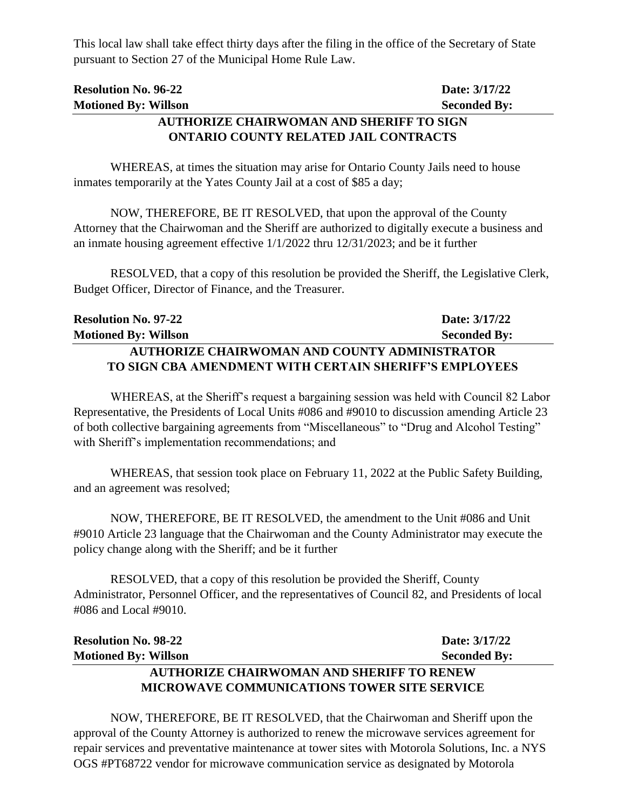This local law shall take effect thirty days after the filing in the office of the Secretary of State pursuant to Section 27 of the Municipal Home Rule Law.

| <b>Resolution No. 96-22</b>                     | Date: 3/17/22       |  |
|-------------------------------------------------|---------------------|--|
| <b>Motioned By: Willson</b>                     | <b>Seconded By:</b> |  |
| <b>AUTHORIZE CHAIRWOMAN AND SHERIFF TO SIGN</b> |                     |  |

# **ONTARIO COUNTY RELATED JAIL CONTRACTS**

WHEREAS, at times the situation may arise for Ontario County Jails need to house inmates temporarily at the Yates County Jail at a cost of \$85 a day;

NOW, THEREFORE, BE IT RESOLVED, that upon the approval of the County Attorney that the Chairwoman and the Sheriff are authorized to digitally execute a business and an inmate housing agreement effective 1/1/2022 thru 12/31/2023; and be it further

RESOLVED, that a copy of this resolution be provided the Sheriff, the Legislative Clerk, Budget Officer, Director of Finance, and the Treasurer.

| <b>Resolution No. 97-22</b>                            | Date: 3/17/22       |
|--------------------------------------------------------|---------------------|
| <b>Motioned By: Willson</b>                            | <b>Seconded By:</b> |
| <b>AUTHORIZE CHAIRWOMAN AND COUNTY ADMINISTRATOR</b>   |                     |
| TO SIGN CBA AMENDMENT WITH CERTAIN SHERIFF'S EMPLOYEES |                     |

WHEREAS, at the Sheriff's request a bargaining session was held with Council 82 Labor Representative, the Presidents of Local Units #086 and #9010 to discussion amending Article 23 of both collective bargaining agreements from "Miscellaneous" to "Drug and Alcohol Testing" with Sheriff's implementation recommendations; and

WHEREAS, that session took place on February 11, 2022 at the Public Safety Building, and an agreement was resolved;

NOW, THEREFORE, BE IT RESOLVED, the amendment to the Unit #086 and Unit #9010 Article 23 language that the Chairwoman and the County Administrator may execute the policy change along with the Sheriff; and be it further

RESOLVED, that a copy of this resolution be provided the Sheriff, County Administrator, Personnel Officer, and the representatives of Council 82, and Presidents of local #086 and Local #9010.

| <b>Resolution No. 98-22</b>                        | Date: 3/17/22       |
|----------------------------------------------------|---------------------|
| <b>Motioned By: Willson</b>                        | <b>Seconded By:</b> |
| <b>AUTHORIZE CHAIRWOMAN AND SHERIFF TO RENEW</b>   |                     |
| <b>MICROWAVE COMMUNICATIONS TOWER SITE SERVICE</b> |                     |

NOW, THEREFORE, BE IT RESOLVED, that the Chairwoman and Sheriff upon the approval of the County Attorney is authorized to renew the microwave services agreement for repair services and preventative maintenance at tower sites with Motorola Solutions, Inc. a NYS OGS #PT68722 vendor for microwave communication service as designated by Motorola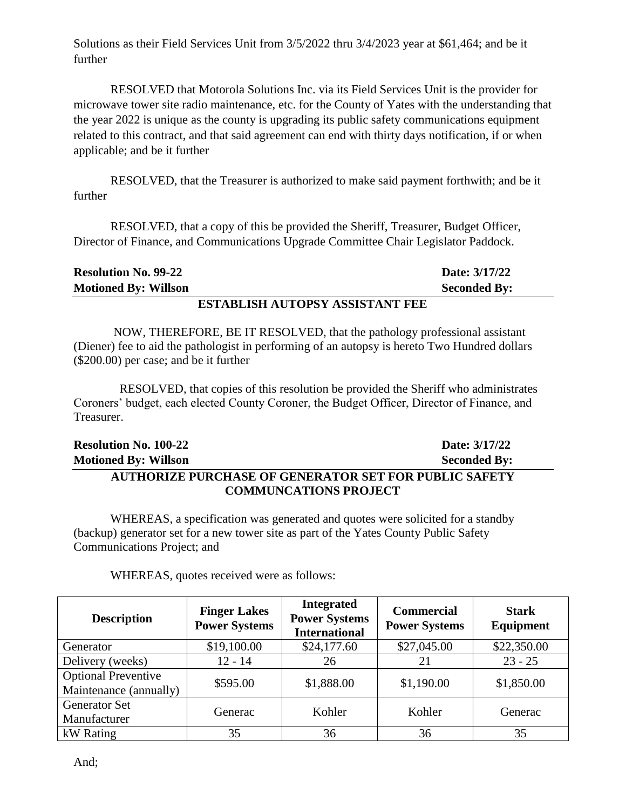Solutions as their Field Services Unit from 3/5/2022 thru 3/4/2023 year at \$61,464; and be it further

RESOLVED that Motorola Solutions Inc. via its Field Services Unit is the provider for microwave tower site radio maintenance, etc. for the County of Yates with the understanding that the year 2022 is unique as the county is upgrading its public safety communications equipment related to this contract, and that said agreement can end with thirty days notification, if or when applicable; and be it further

RESOLVED, that the Treasurer is authorized to make said payment forthwith; and be it further

RESOLVED, that a copy of this be provided the Sheriff, Treasurer, Budget Officer, Director of Finance, and Communications Upgrade Committee Chair Legislator Paddock.

|                             | ROBLDI IOII A HRODOV A OCIOBAND REB |                     |
|-----------------------------|-------------------------------------|---------------------|
| <b>Motioned By: Willson</b> |                                     | <b>Seconded By:</b> |
| <b>Resolution No. 99-22</b> |                                     | Date: 3/17/22       |

### **ESTABLISH AUTOPSY ASSISTANT FEE**

NOW, THEREFORE, BE IT RESOLVED, that the pathology professional assistant (Diener) fee to aid the pathologist in performing of an autopsy is hereto Two Hundred dollars (\$200.00) per case; and be it further

 RESOLVED, that copies of this resolution be provided the Sheriff who administrates Coroners' budget, each elected County Coroner, the Budget Officer, Director of Finance, and Treasurer.

| <b>Resolution No. 100-22</b>                                 | Date: 3/17/22       |
|--------------------------------------------------------------|---------------------|
| <b>Motioned By: Willson</b>                                  | <b>Seconded By:</b> |
| <b>AUTHORIZE PURCHASE OF GENERATOR SET FOR PUBLIC SAFETY</b> |                     |
| <b>COMMUNCATIONS PROJECT</b>                                 |                     |

WHEREAS, a specification was generated and quotes were solicited for a standby (backup) generator set for a new tower site as part of the Yates County Public Safety Communications Project; and

| <b>Description</b>                                   | <b>Finger Lakes</b><br><b>Power Systems</b> | <b>Integrated</b><br><b>Power Systems</b><br><b>International</b> | <b>Commercial</b><br><b>Power Systems</b> | <b>Stark</b><br>Equipment |
|------------------------------------------------------|---------------------------------------------|-------------------------------------------------------------------|-------------------------------------------|---------------------------|
| Generator                                            | \$19,100.00                                 | \$24,177.60                                                       | \$27,045.00                               | \$22,350.00               |
| Delivery (weeks)                                     | $12 - 14$                                   | 26                                                                | 21                                        | $23 - 25$                 |
| <b>Optional Preventive</b><br>Maintenance (annually) | \$595.00                                    | \$1,888.00                                                        | \$1,190.00                                | \$1,850.00                |
| <b>Generator Set</b><br>Manufacturer                 | Generac                                     | Kohler                                                            | Kohler                                    | Generac                   |
| kW Rating                                            | 35                                          | 36                                                                | 36                                        | 35                        |

WHEREAS, quotes received were as follows: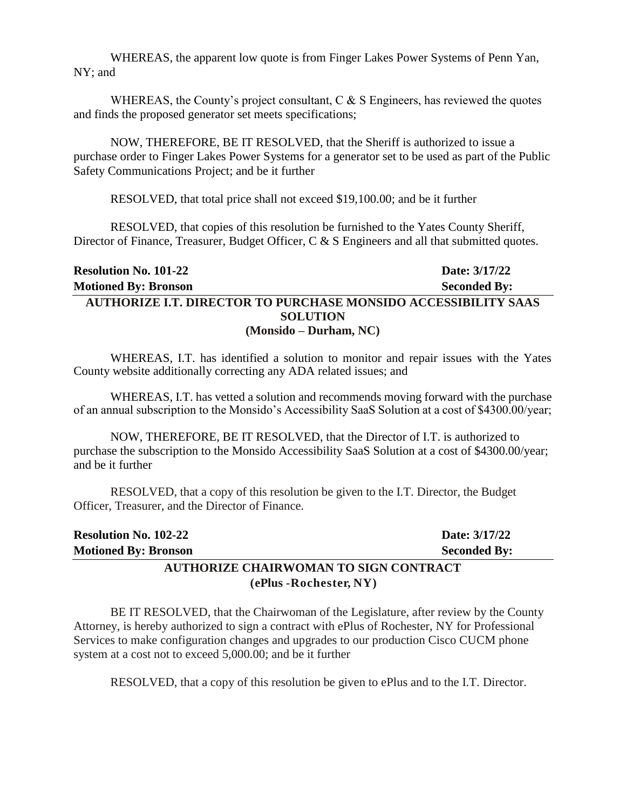WHEREAS, the apparent low quote is from Finger Lakes Power Systems of Penn Yan, NY; and

WHEREAS, the County's project consultant, C & S Engineers, has reviewed the quotes and finds the proposed generator set meets specifications;

NOW, THEREFORE, BE IT RESOLVED, that the Sheriff is authorized to issue a purchase order to Finger Lakes Power Systems for a generator set to be used as part of the Public Safety Communications Project; and be it further

RESOLVED, that total price shall not exceed \$19,100.00; and be it further

RESOLVED, that copies of this resolution be furnished to the Yates County Sheriff, Director of Finance, Treasurer, Budget Officer, C & S Engineers and all that submitted quotes.

# **Resolution No. 101-22 Date: 3/17/22 Motioned By: Bronson Seconded By: AUTHORIZE I.T. DIRECTOR TO PURCHASE MONSIDO ACCESSIBILITY SAAS SOLUTION (Monsido – Durham, NC)**

WHEREAS, I.T. has identified a solution to monitor and repair issues with the Yates County website additionally correcting any ADA related issues; and

WHEREAS, I.T. has vetted a solution and recommends moving forward with the purchase of an annual subscription to the Monsido's Accessibility SaaS Solution at a cost of \$4300.00/year;

NOW, THEREFORE, BE IT RESOLVED, that the Director of I.T. is authorized to purchase the subscription to the Monsido Accessibility SaaS Solution at a cost of \$4300.00/year; and be it further

RESOLVED, that a copy of this resolution be given to the I.T. Director, the Budget Officer, Treasurer, and the Director of Finance.

| <b>Resolution No. 102-22</b>                 | Date: 3/17/22       |
|----------------------------------------------|---------------------|
| <b>Motioned By: Bronson</b>                  | <b>Seconded By:</b> |
| <b>AUTHORIZE CHAIRWOMAN TO SIGN CONTRACT</b> |                     |
| (ePlus - Rochester, NY)                      |                     |

BE IT RESOLVED, that the Chairwoman of the Legislature, after review by the County Attorney, is hereby authorized to sign a contract with ePlus of Rochester, NY for Professional Services to make configuration changes and upgrades to our production Cisco CUCM phone system at a cost not to exceed 5,000.00; and be it further

RESOLVED, that a copy of this resolution be given to ePlus and to the I.T. Director.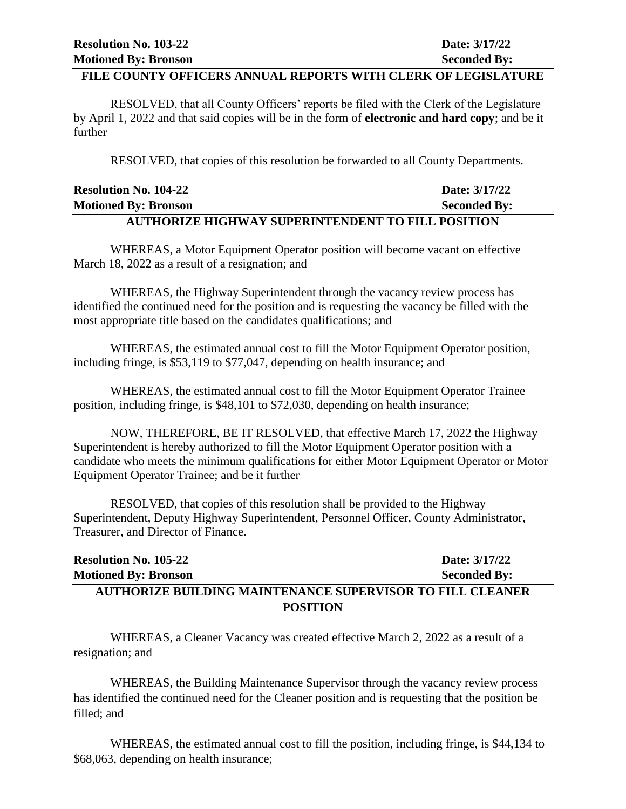#### **FILE COUNTY OFFICERS ANNUAL REPORTS WITH CLERK OF LEGISLATURE**

RESOLVED, that all County Officers' reports be filed with the Clerk of the Legislature by April 1, 2022 and that said copies will be in the form of **electronic and hard copy**; and be it further

RESOLVED, that copies of this resolution be forwarded to all County Departments.

| , thetta $\alpha$ to the title $\alpha$ then $\beta$ , the $\alpha$ from the structure of the field $\alpha$ that $\alpha$ $\beta$ $\gamma$ is $\alpha$ |                     |
|---------------------------------------------------------------------------------------------------------------------------------------------------------|---------------------|
| <b>Motioned By: Bronson</b>                                                                                                                             | <b>Seconded By:</b> |
| <b>Resolution No. 104-22</b>                                                                                                                            | Date: 3/17/22       |

#### **AUTHORIZE HIGHWAY SUPERINTENDENT TO FILL POSITION**

WHEREAS, a Motor Equipment Operator position will become vacant on effective March 18, 2022 as a result of a resignation; and

WHEREAS, the Highway Superintendent through the vacancy review process has identified the continued need for the position and is requesting the vacancy be filled with the most appropriate title based on the candidates qualifications; and

WHEREAS, the estimated annual cost to fill the Motor Equipment Operator position, including fringe, is \$53,119 to \$77,047, depending on health insurance; and

WHEREAS, the estimated annual cost to fill the Motor Equipment Operator Trainee position, including fringe, is \$48,101 to \$72,030, depending on health insurance;

NOW, THEREFORE, BE IT RESOLVED, that effective March 17, 2022 the Highway Superintendent is hereby authorized to fill the Motor Equipment Operator position with a candidate who meets the minimum qualifications for either Motor Equipment Operator or Motor Equipment Operator Trainee; and be it further

RESOLVED, that copies of this resolution shall be provided to the Highway Superintendent, Deputy Highway Superintendent, Personnel Officer, County Administrator, Treasurer, and Director of Finance.

| <b>Resolution No. 105-22</b>                                     | Date: 3/17/22       |
|------------------------------------------------------------------|---------------------|
| <b>Motioned By: Bronson</b>                                      | <b>Seconded By:</b> |
| <b>AUTHORIZE BUILDING MAINTENANCE SUPERVISOR TO FILL CLEANER</b> |                     |
| <b>POSITION</b>                                                  |                     |

WHEREAS, a Cleaner Vacancy was created effective March 2, 2022 as a result of a resignation; and

WHEREAS, the Building Maintenance Supervisor through the vacancy review process has identified the continued need for the Cleaner position and is requesting that the position be filled; and

WHEREAS, the estimated annual cost to fill the position, including fringe, is \$44,134 to \$68,063, depending on health insurance;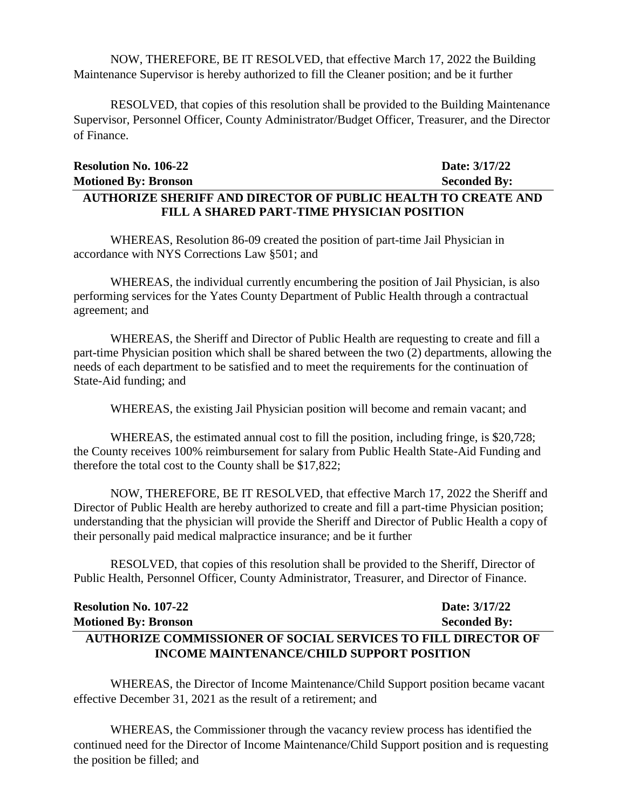NOW, THEREFORE, BE IT RESOLVED, that effective March 17, 2022 the Building Maintenance Supervisor is hereby authorized to fill the Cleaner position; and be it further

RESOLVED, that copies of this resolution shall be provided to the Building Maintenance Supervisor, Personnel Officer, County Administrator/Budget Officer, Treasurer, and the Director of Finance.

| <b>Resolution No. 106-22</b>                                         | Date: 3/17/22       |
|----------------------------------------------------------------------|---------------------|
| <b>Motioned By: Bronson</b>                                          | <b>Seconded By:</b> |
| <b>AUTHORIZE SHERIFF AND DIRECTOR OF PUBLIC HEALTH TO CREATE AND</b> |                     |
| FILL A SHARED PART-TIME PHYSICIAN POSITION                           |                     |

WHEREAS, Resolution 86-09 created the position of part-time Jail Physician in accordance with NYS Corrections Law §501; and

WHEREAS, the individual currently encumbering the position of Jail Physician, is also performing services for the Yates County Department of Public Health through a contractual agreement; and

WHEREAS, the Sheriff and Director of Public Health are requesting to create and fill a part-time Physician position which shall be shared between the two (2) departments, allowing the needs of each department to be satisfied and to meet the requirements for the continuation of State-Aid funding; and

WHEREAS, the existing Jail Physician position will become and remain vacant; and

WHEREAS, the estimated annual cost to fill the position, including fringe, is \$20,728; the County receives 100% reimbursement for salary from Public Health State-Aid Funding and therefore the total cost to the County shall be \$17,822;

NOW, THEREFORE, BE IT RESOLVED, that effective March 17, 2022 the Sheriff and Director of Public Health are hereby authorized to create and fill a part-time Physician position; understanding that the physician will provide the Sheriff and Director of Public Health a copy of their personally paid medical malpractice insurance; and be it further

RESOLVED, that copies of this resolution shall be provided to the Sheriff, Director of Public Health, Personnel Officer, County Administrator, Treasurer, and Director of Finance.

# **Resolution No. 107-22 Date: 3/17/22 Motioned By: Bronson Seconded By: AUTHORIZE COMMISSIONER OF SOCIAL SERVICES TO FILL DIRECTOR OF INCOME MAINTENANCE/CHILD SUPPORT POSITION**

WHEREAS, the Director of Income Maintenance/Child Support position became vacant effective December 31, 2021 as the result of a retirement; and

WHEREAS, the Commissioner through the vacancy review process has identified the continued need for the Director of Income Maintenance/Child Support position and is requesting the position be filled; and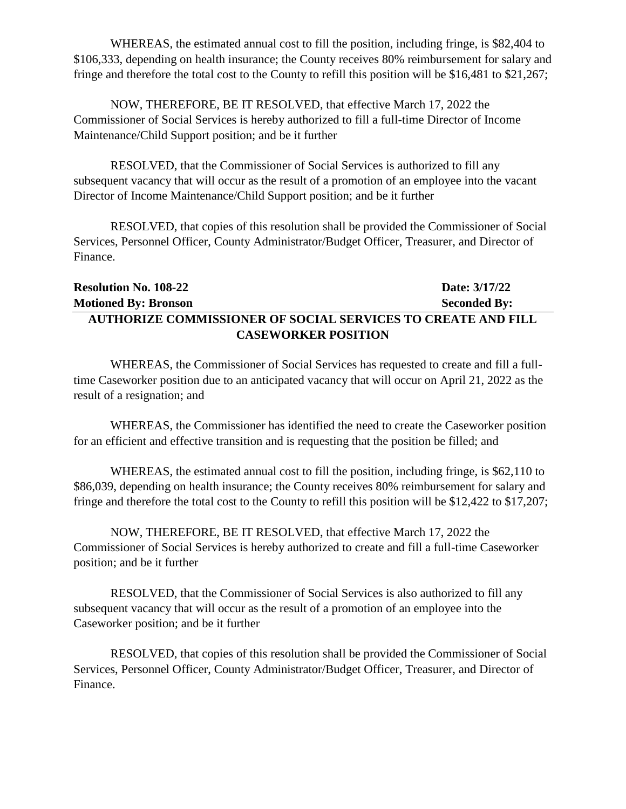WHEREAS, the estimated annual cost to fill the position, including fringe, is \$82,404 to \$106,333, depending on health insurance; the County receives 80% reimbursement for salary and fringe and therefore the total cost to the County to refill this position will be \$16,481 to \$21,267;

NOW, THEREFORE, BE IT RESOLVED, that effective March 17, 2022 the Commissioner of Social Services is hereby authorized to fill a full-time Director of Income Maintenance/Child Support position; and be it further

RESOLVED, that the Commissioner of Social Services is authorized to fill any subsequent vacancy that will occur as the result of a promotion of an employee into the vacant Director of Income Maintenance/Child Support position; and be it further

RESOLVED, that copies of this resolution shall be provided the Commissioner of Social Services, Personnel Officer, County Administrator/Budget Officer, Treasurer, and Director of Finance.

# **Resolution No. 108-22 Date: 3/17/22 Motioned By: Bronson Seconded By: AUTHORIZE COMMISSIONER OF SOCIAL SERVICES TO CREATE AND FILL CASEWORKER POSITION**

WHEREAS, the Commissioner of Social Services has requested to create and fill a fulltime Caseworker position due to an anticipated vacancy that will occur on April 21, 2022 as the result of a resignation; and

WHEREAS, the Commissioner has identified the need to create the Caseworker position for an efficient and effective transition and is requesting that the position be filled; and

WHEREAS, the estimated annual cost to fill the position, including fringe, is \$62,110 to \$86,039, depending on health insurance; the County receives 80% reimbursement for salary and fringe and therefore the total cost to the County to refill this position will be \$12,422 to \$17,207;

NOW, THEREFORE, BE IT RESOLVED, that effective March 17, 2022 the Commissioner of Social Services is hereby authorized to create and fill a full-time Caseworker position; and be it further

RESOLVED, that the Commissioner of Social Services is also authorized to fill any subsequent vacancy that will occur as the result of a promotion of an employee into the Caseworker position; and be it further

RESOLVED, that copies of this resolution shall be provided the Commissioner of Social Services, Personnel Officer, County Administrator/Budget Officer, Treasurer, and Director of Finance.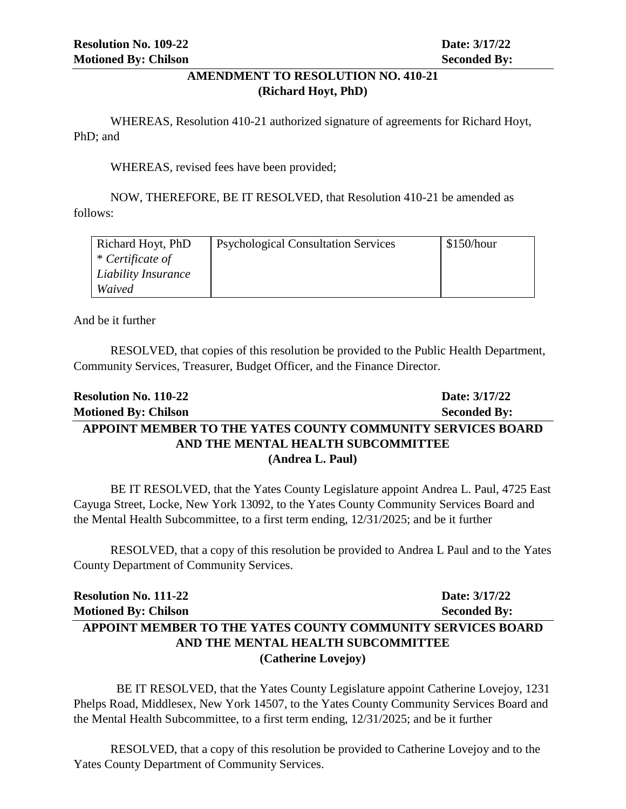# **AMENDMENT TO RESOLUTION NO. 410-21 (Richard Hoyt, PhD)**

WHEREAS, Resolution 410-21 authorized signature of agreements for Richard Hoyt, PhD; and

WHEREAS, revised fees have been provided;

NOW, THEREFORE, BE IT RESOLVED, that Resolution 410-21 be amended as follows:

| Richard Hoyt, PhD   | <b>Psychological Consultation Services</b> | $\frac{\$150/hour}{\$}$ |
|---------------------|--------------------------------------------|-------------------------|
| * Certificate of    |                                            |                         |
| Liability Insurance |                                            |                         |
| Waived              |                                            |                         |

And be it further

RESOLVED, that copies of this resolution be provided to the Public Health Department, Community Services, Treasurer, Budget Officer, and the Finance Director.

# **Resolution No. 110-22 Date: 3/17/22 Motioned By: Chilson Seconded By: APPOINT MEMBER TO THE YATES COUNTY COMMUNITY SERVICES BOARD AND THE MENTAL HEALTH SUBCOMMITTEE (Andrea L. Paul)**

BE IT RESOLVED, that the Yates County Legislature appoint Andrea L. Paul, 4725 East Cayuga Street, Locke, New York 13092, to the Yates County Community Services Board and the Mental Health Subcommittee, to a first term ending, 12/31/2025; and be it further

RESOLVED, that a copy of this resolution be provided to Andrea L Paul and to the Yates County Department of Community Services.

| <b>Resolution No. 111-22</b>                                | Date: 3/17/22       |
|-------------------------------------------------------------|---------------------|
| <b>Motioned By: Chilson</b>                                 | <b>Seconded By:</b> |
| APPOINT MEMBER TO THE YATES COUNTY COMMUNITY SERVICES BOARD |                     |
| AND THE MENTAL HEALTH SUBCOMMITTEE                          |                     |
| (Catherine Lovejoy)                                         |                     |

 BE IT RESOLVED, that the Yates County Legislature appoint Catherine Lovejoy, 1231 Phelps Road, Middlesex, New York 14507, to the Yates County Community Services Board and the Mental Health Subcommittee, to a first term ending, 12/31/2025; and be it further

RESOLVED, that a copy of this resolution be provided to Catherine Lovejoy and to the Yates County Department of Community Services.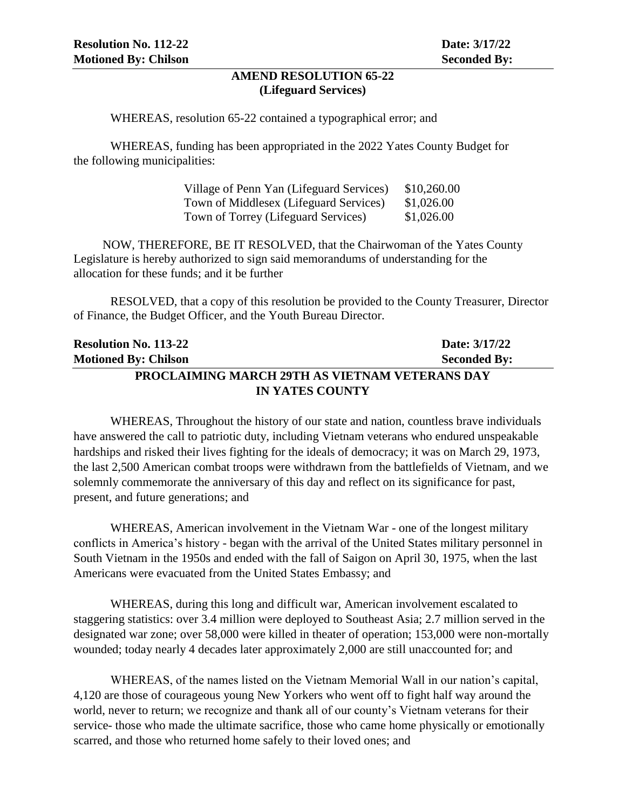#### **AMEND RESOLUTION 65-22 (Lifeguard Services)**

WHEREAS, resolution 65-22 contained a typographical error; and

WHEREAS, funding has been appropriated in the 2022 Yates County Budget for the following municipalities:

| Village of Penn Yan (Lifeguard Services) | \$10,260.00 |
|------------------------------------------|-------------|
| Town of Middlesex (Lifeguard Services)   | \$1,026.00  |
| Town of Torrey (Lifeguard Services)      | \$1,026.00  |

NOW, THEREFORE, BE IT RESOLVED, that the Chairwoman of the Yates County Legislature is hereby authorized to sign said memorandums of understanding for the allocation for these funds; and it be further

RESOLVED, that a copy of this resolution be provided to the County Treasurer, Director of Finance, the Budget Officer, and the Youth Bureau Director.

| <b>Resolution No. 113-22</b>                          | Date: 3/17/22       |  |
|-------------------------------------------------------|---------------------|--|
| <b>Motioned By: Chilson</b>                           | <b>Seconded By:</b> |  |
| <b>PROCLAIMING MARCH 29TH AS VIETNAM VETERANS DAY</b> |                     |  |
| <b>IN YATES COUNTY</b>                                |                     |  |

WHEREAS, Throughout the history of our state and nation, countless brave individuals have answered the call to patriotic duty, including Vietnam veterans who endured unspeakable hardships and risked their lives fighting for the ideals of democracy; it was on March 29, 1973, the last 2,500 American combat troops were withdrawn from the battlefields of Vietnam, and we solemnly commemorate the anniversary of this day and reflect on its significance for past, present, and future generations; and

WHEREAS, American involvement in the Vietnam War - one of the longest military conflicts in America's history - began with the arrival of the United States military personnel in South Vietnam in the 1950s and ended with the fall of Saigon on April 30, 1975, when the last Americans were evacuated from the United States Embassy; and

WHEREAS, during this long and difficult war, American involvement escalated to staggering statistics: over 3.4 million were deployed to Southeast Asia; 2.7 million served in the designated war zone; over 58,000 were killed in theater of operation; 153,000 were non-mortally wounded; today nearly 4 decades later approximately 2,000 are still unaccounted for; and

WHEREAS, of the names listed on the Vietnam Memorial Wall in our nation's capital, 4,120 are those of courageous young New Yorkers who went off to fight half way around the world, never to return; we recognize and thank all of our county's Vietnam veterans for their service- those who made the ultimate sacrifice, those who came home physically or emotionally scarred, and those who returned home safely to their loved ones; and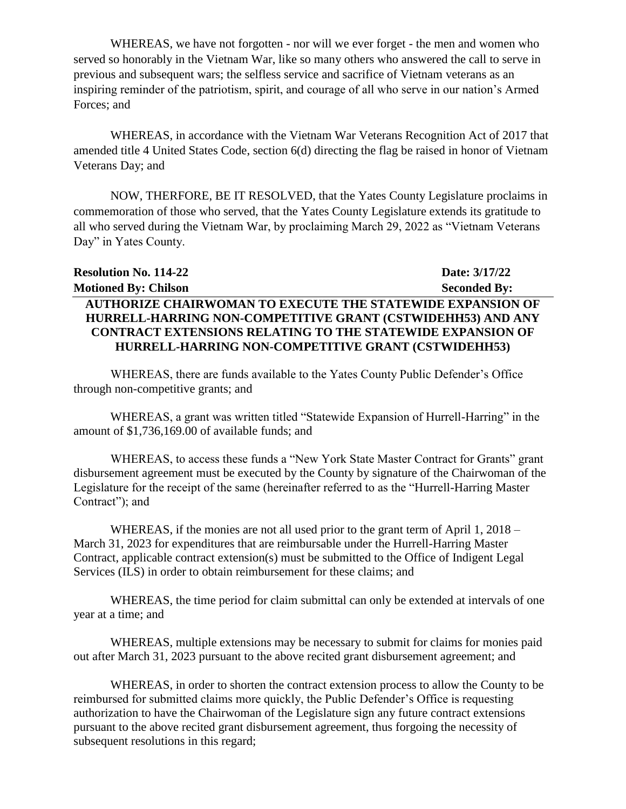WHEREAS, we have not forgotten - nor will we ever forget - the men and women who served so honorably in the Vietnam War, like so many others who answered the call to serve in previous and subsequent wars; the selfless service and sacrifice of Vietnam veterans as an inspiring reminder of the patriotism, spirit, and courage of all who serve in our nation's Armed Forces; and

WHEREAS, in accordance with the Vietnam War Veterans Recognition Act of 2017 that amended title 4 United States Code, section 6(d) directing the flag be raised in honor of Vietnam Veterans Day; and

NOW, THERFORE, BE IT RESOLVED, that the Yates County Legislature proclaims in commemoration of those who served, that the Yates County Legislature extends its gratitude to all who served during the Vietnam War, by proclaiming March 29, 2022 as "Vietnam Veterans Day" in Yates County.

| <b>Resolution No. 114-22</b>                                      | Date: 3/17/22       |
|-------------------------------------------------------------------|---------------------|
| <b>Motioned By: Chilson</b>                                       | <b>Seconded By:</b> |
| <b>AUTHORIZE CHAIRWOMAN TO EXECUTE THE STATEWIDE EXPANSION OF</b> |                     |
| HURRELL-HARRING NON-COMPETITIVE GRANT (CSTWIDEHH53) AND ANY       |                     |
| <b>CONTRACT EXTENSIONS RELATING TO THE STATEWIDE EXPANSION OF</b> |                     |
| HURRELL-HARRING NON-COMPETITIVE GRANT (CSTWIDEHH53)               |                     |

WHEREAS, there are funds available to the Yates County Public Defender's Office through non-competitive grants; and

WHEREAS, a grant was written titled "Statewide Expansion of Hurrell-Harring" in the amount of \$1,736,169.00 of available funds; and

WHEREAS, to access these funds a "New York State Master Contract for Grants" grant disbursement agreement must be executed by the County by signature of the Chairwoman of the Legislature for the receipt of the same (hereinafter referred to as the "Hurrell-Harring Master Contract"); and

WHEREAS, if the monies are not all used prior to the grant term of April 1, 2018 – March 31, 2023 for expenditures that are reimbursable under the Hurrell-Harring Master Contract, applicable contract extension(s) must be submitted to the Office of Indigent Legal Services (ILS) in order to obtain reimbursement for these claims; and

WHEREAS, the time period for claim submittal can only be extended at intervals of one year at a time; and

WHEREAS, multiple extensions may be necessary to submit for claims for monies paid out after March 31, 2023 pursuant to the above recited grant disbursement agreement; and

WHEREAS, in order to shorten the contract extension process to allow the County to be reimbursed for submitted claims more quickly, the Public Defender's Office is requesting authorization to have the Chairwoman of the Legislature sign any future contract extensions pursuant to the above recited grant disbursement agreement, thus forgoing the necessity of subsequent resolutions in this regard;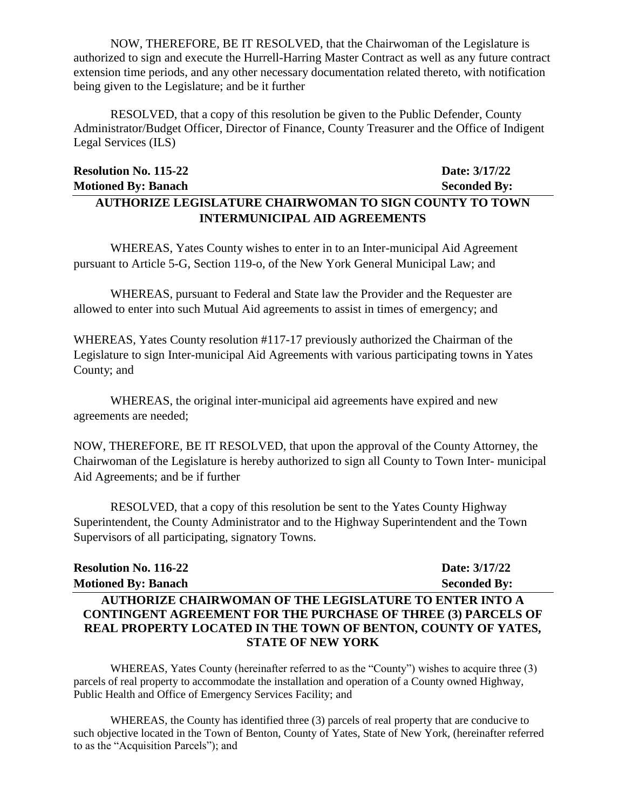NOW, THEREFORE, BE IT RESOLVED, that the Chairwoman of the Legislature is authorized to sign and execute the Hurrell-Harring Master Contract as well as any future contract extension time periods, and any other necessary documentation related thereto, with notification being given to the Legislature; and be it further

RESOLVED, that a copy of this resolution be given to the Public Defender, County Administrator/Budget Officer, Director of Finance, County Treasurer and the Office of Indigent Legal Services (ILS)

# **Resolution No. 115-22 Date: 3/17/22 Motioned By: Banach Seconded By: AUTHORIZE LEGISLATURE CHAIRWOMAN TO SIGN COUNTY TO TOWN INTERMUNICIPAL AID AGREEMENTS**

WHEREAS, Yates County wishes to enter in to an Inter-municipal Aid Agreement pursuant to Article 5-G, Section 119-o, of the New York General Municipal Law; and

WHEREAS, pursuant to Federal and State law the Provider and the Requester are allowed to enter into such Mutual Aid agreements to assist in times of emergency; and

WHEREAS, Yates County resolution #117-17 previously authorized the Chairman of the Legislature to sign Inter-municipal Aid Agreements with various participating towns in Yates County; and

WHEREAS, the original inter-municipal aid agreements have expired and new agreements are needed;

NOW, THEREFORE, BE IT RESOLVED, that upon the approval of the County Attorney, the Chairwoman of the Legislature is hereby authorized to sign all County to Town Inter- municipal Aid Agreements; and be if further

RESOLVED, that a copy of this resolution be sent to the Yates County Highway Superintendent, the County Administrator and to the Highway Superintendent and the Town Supervisors of all participating, signatory Towns.

| <b>Resolution No. 116-22</b>                                         | Date: 3/17/22       |
|----------------------------------------------------------------------|---------------------|
| <b>Motioned By: Banach</b>                                           | <b>Seconded By:</b> |
| <b>AUTHORIZE CHAIRWOMAN OF THE LEGISLATURE TO ENTER INTO A</b>       |                     |
| <b>CONTINGENT AGREEMENT FOR THE PURCHASE OF THREE (3) PARCELS OF</b> |                     |
| <b>REAL PROPERTY LOCATED IN THE TOWN OF BENTON, COUNTY OF YATES,</b> |                     |
| <b>STATE OF NEW YORK</b>                                             |                     |

WHEREAS, Yates County (hereinafter referred to as the "County") wishes to acquire three (3) parcels of real property to accommodate the installation and operation of a County owned Highway, Public Health and Office of Emergency Services Facility; and

WHEREAS, the County has identified three (3) parcels of real property that are conducive to such objective located in the Town of Benton, County of Yates, State of New York, (hereinafter referred to as the "Acquisition Parcels"); and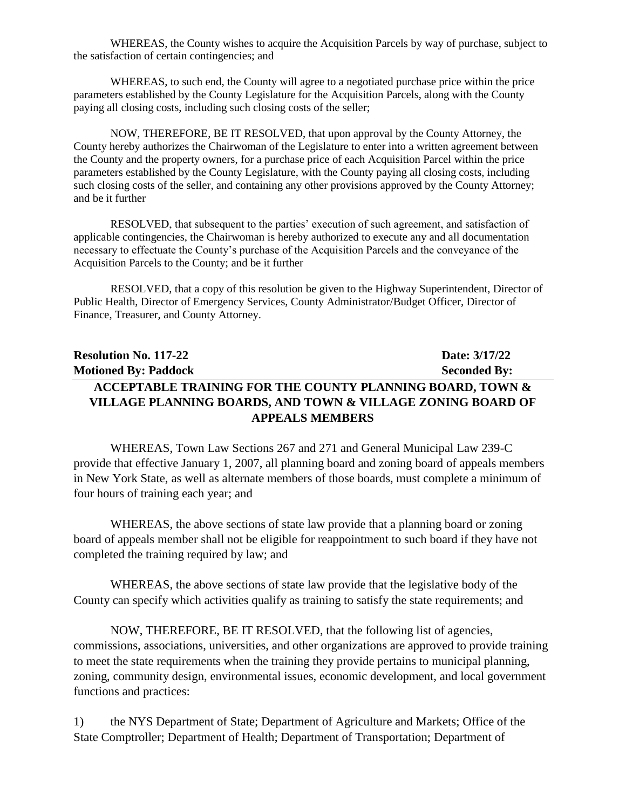WHEREAS, the County wishes to acquire the Acquisition Parcels by way of purchase, subject to the satisfaction of certain contingencies; and

WHEREAS, to such end, the County will agree to a negotiated purchase price within the price parameters established by the County Legislature for the Acquisition Parcels, along with the County paying all closing costs, including such closing costs of the seller;

NOW, THEREFORE, BE IT RESOLVED, that upon approval by the County Attorney, the County hereby authorizes the Chairwoman of the Legislature to enter into a written agreement between the County and the property owners, for a purchase price of each Acquisition Parcel within the price parameters established by the County Legislature, with the County paying all closing costs, including such closing costs of the seller, and containing any other provisions approved by the County Attorney; and be it further

RESOLVED, that subsequent to the parties' execution of such agreement, and satisfaction of applicable contingencies, the Chairwoman is hereby authorized to execute any and all documentation necessary to effectuate the County's purchase of the Acquisition Parcels and the conveyance of the Acquisition Parcels to the County; and be it further

RESOLVED, that a copy of this resolution be given to the Highway Superintendent, Director of Public Health, Director of Emergency Services, County Administrator/Budget Officer, Director of Finance, Treasurer, and County Attorney.

# **Resolution No. 117-22 Date: 3/17/22 Motioned By: Paddock Seconded By: ACCEPTABLE TRAINING FOR THE COUNTY PLANNING BOARD, TOWN & VILLAGE PLANNING BOARDS, AND TOWN & VILLAGE ZONING BOARD OF APPEALS MEMBERS**

WHEREAS, Town Law Sections 267 and 271 and General Municipal Law 239-C provide that effective January 1, 2007, all planning board and zoning board of appeals members in New York State, as well as alternate members of those boards, must complete a minimum of four hours of training each year; and

WHEREAS, the above sections of state law provide that a planning board or zoning board of appeals member shall not be eligible for reappointment to such board if they have not completed the training required by law; and

WHEREAS, the above sections of state law provide that the legislative body of the County can specify which activities qualify as training to satisfy the state requirements; and

NOW, THEREFORE, BE IT RESOLVED, that the following list of agencies, commissions, associations, universities, and other organizations are approved to provide training to meet the state requirements when the training they provide pertains to municipal planning, zoning, community design, environmental issues, economic development, and local government functions and practices:

1) the NYS Department of State; Department of Agriculture and Markets; Office of the State Comptroller; Department of Health; Department of Transportation; Department of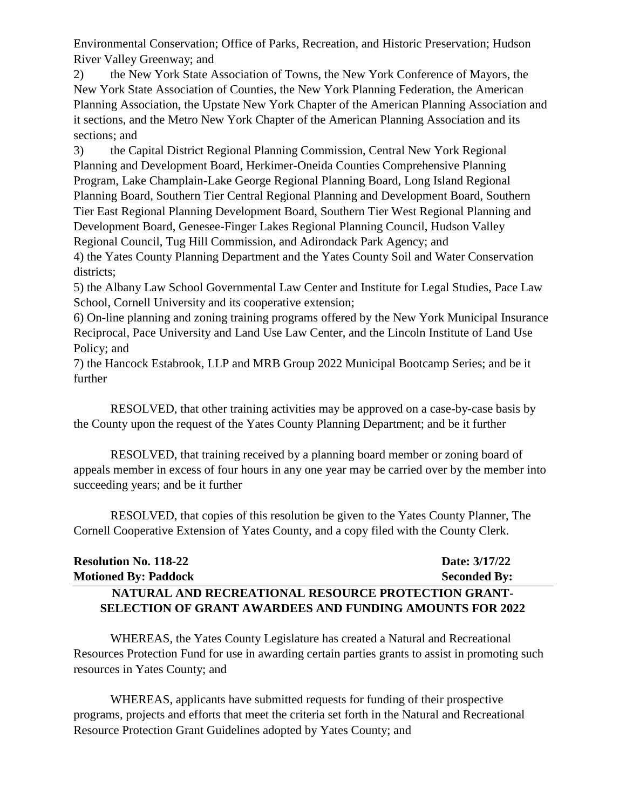Environmental Conservation; Office of Parks, Recreation, and Historic Preservation; Hudson River Valley Greenway; and

2) the New York State Association of Towns, the New York Conference of Mayors, the New York State Association of Counties, the New York Planning Federation, the American Planning Association, the Upstate New York Chapter of the American Planning Association and it sections, and the Metro New York Chapter of the American Planning Association and its sections; and

3) the Capital District Regional Planning Commission, Central New York Regional Planning and Development Board, Herkimer-Oneida Counties Comprehensive Planning Program, Lake Champlain-Lake George Regional Planning Board, Long Island Regional Planning Board, Southern Tier Central Regional Planning and Development Board, Southern Tier East Regional Planning Development Board, Southern Tier West Regional Planning and Development Board, Genesee-Finger Lakes Regional Planning Council, Hudson Valley Regional Council, Tug Hill Commission, and Adirondack Park Agency; and

4) the Yates County Planning Department and the Yates County Soil and Water Conservation districts:

5) the Albany Law School Governmental Law Center and Institute for Legal Studies, Pace Law School, Cornell University and its cooperative extension;

6) On-line planning and zoning training programs offered by the New York Municipal Insurance Reciprocal, Pace University and Land Use Law Center, and the Lincoln Institute of Land Use Policy; and

7) the Hancock Estabrook, LLP and MRB Group 2022 Municipal Bootcamp Series; and be it further

RESOLVED, that other training activities may be approved on a case-by-case basis by the County upon the request of the Yates County Planning Department; and be it further

RESOLVED, that training received by a planning board member or zoning board of appeals member in excess of four hours in any one year may be carried over by the member into succeeding years; and be it further

RESOLVED, that copies of this resolution be given to the Yates County Planner, The Cornell Cooperative Extension of Yates County, and a copy filed with the County Clerk.

| <b>Resolution No. 118-22</b>                                    | Date: 3/17/22       |
|-----------------------------------------------------------------|---------------------|
| <b>Motioned By: Paddock</b>                                     | <b>Seconded By:</b> |
| NATURAL AND RECREATIONAL RESOURCE PROTECTION GRANT-             |                     |
| <b>SELECTION OF GRANT AWARDEES AND FUNDING AMOUNTS FOR 2022</b> |                     |

WHEREAS, the Yates County Legislature has created a Natural and Recreational Resources Protection Fund for use in awarding certain parties grants to assist in promoting such resources in Yates County; and

WHEREAS, applicants have submitted requests for funding of their prospective programs, projects and efforts that meet the criteria set forth in the Natural and Recreational Resource Protection Grant Guidelines adopted by Yates County; and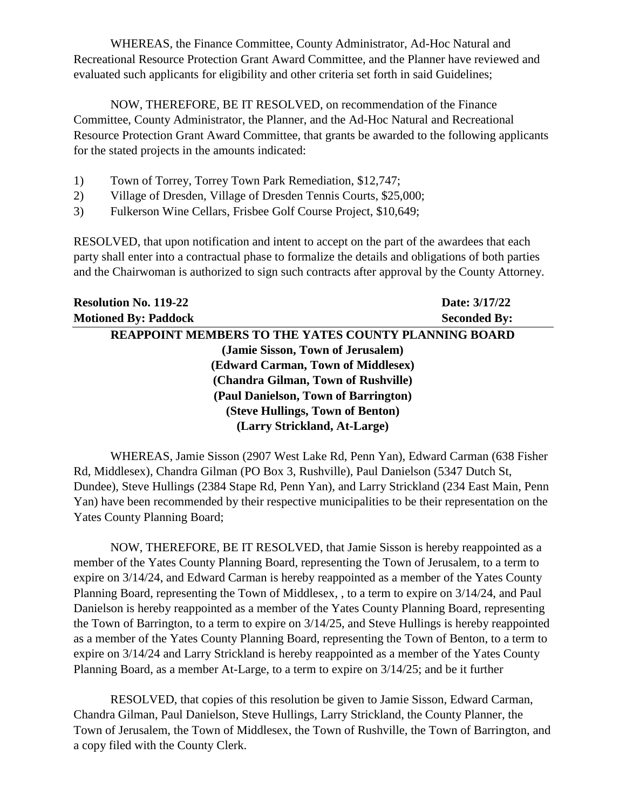WHEREAS, the Finance Committee, County Administrator, Ad-Hoc Natural and Recreational Resource Protection Grant Award Committee, and the Planner have reviewed and evaluated such applicants for eligibility and other criteria set forth in said Guidelines;

NOW, THEREFORE, BE IT RESOLVED, on recommendation of the Finance Committee, County Administrator, the Planner, and the Ad-Hoc Natural and Recreational Resource Protection Grant Award Committee, that grants be awarded to the following applicants for the stated projects in the amounts indicated:

- 1) Town of Torrey, Torrey Town Park Remediation, \$12,747;
- 2) Village of Dresden, Village of Dresden Tennis Courts, \$25,000;
- 3) Fulkerson Wine Cellars, Frisbee Golf Course Project, \$10,649;

RESOLVED, that upon notification and intent to accept on the part of the awardees that each party shall enter into a contractual phase to formalize the details and obligations of both parties and the Chairwoman is authorized to sign such contracts after approval by the County Attorney.

| <b>Resolution No. 119-22</b>                                | Date: 3/17/22       |
|-------------------------------------------------------------|---------------------|
| <b>Motioned By: Paddock</b>                                 | <b>Seconded By:</b> |
| <b>REAPPOINT MEMBERS TO THE YATES COUNTY PLANNING BOARD</b> |                     |
| (Jamie Sisson, Town of Jerusalem)                           |                     |
| (Edward Carman, Town of Middlesex)                          |                     |
| (Chandra Gilman, Town of Rushville)                         |                     |
| (Paul Danielson, Town of Barrington)                        |                     |
| (Steve Hullings, Town of Benton)                            |                     |
| (Larry Strickland, At-Large)                                |                     |

WHEREAS, Jamie Sisson (2907 West Lake Rd, Penn Yan), Edward Carman (638 Fisher Rd, Middlesex), Chandra Gilman (PO Box 3, Rushville), Paul Danielson (5347 Dutch St, Dundee), Steve Hullings (2384 Stape Rd, Penn Yan), and Larry Strickland (234 East Main, Penn Yan) have been recommended by their respective municipalities to be their representation on the Yates County Planning Board;

NOW, THEREFORE, BE IT RESOLVED, that Jamie Sisson is hereby reappointed as a member of the Yates County Planning Board, representing the Town of Jerusalem, to a term to expire on 3/14/24, and Edward Carman is hereby reappointed as a member of the Yates County Planning Board, representing the Town of Middlesex, , to a term to expire on 3/14/24, and Paul Danielson is hereby reappointed as a member of the Yates County Planning Board, representing the Town of Barrington, to a term to expire on 3/14/25, and Steve Hullings is hereby reappointed as a member of the Yates County Planning Board, representing the Town of Benton, to a term to expire on 3/14/24 and Larry Strickland is hereby reappointed as a member of the Yates County Planning Board, as a member At-Large, to a term to expire on 3/14/25; and be it further

RESOLVED, that copies of this resolution be given to Jamie Sisson, Edward Carman, Chandra Gilman, Paul Danielson, Steve Hullings, Larry Strickland, the County Planner, the Town of Jerusalem, the Town of Middlesex, the Town of Rushville, the Town of Barrington, and a copy filed with the County Clerk.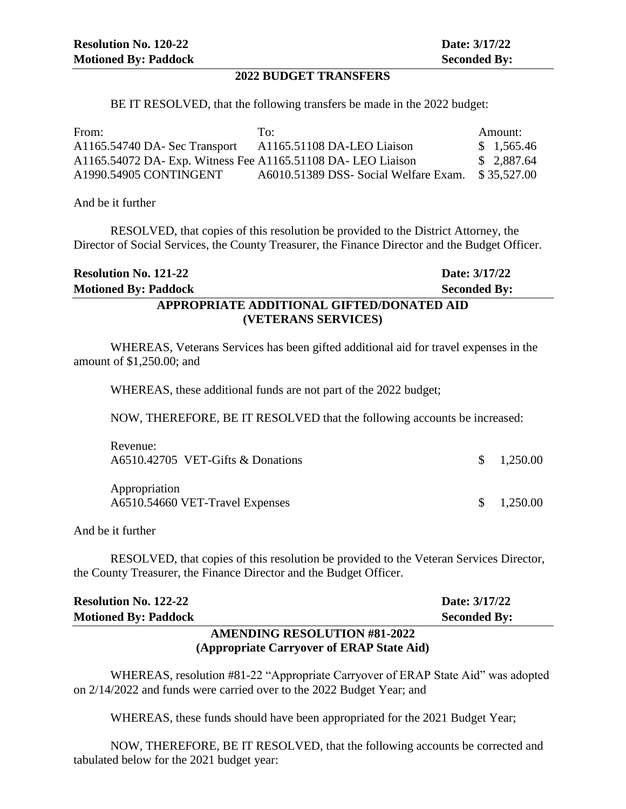#### **2022 BUDGET TRANSFERS**

BE IT RESOLVED, that the following transfers be made in the 2022 budget:

| From:                                                        | To:                                   | Amount:     |
|--------------------------------------------------------------|---------------------------------------|-------------|
| A1165.54740 DA- Sec Transport                                | A1165.51108 DA-LEO Liaison            | \$1,565.46  |
| A1165.54072 DA- Exp. Witness Fee A1165.51108 DA- LEO Liaison |                                       | \$2,887.64  |
| A1990.54905 CONTINGENT                                       | A6010.51389 DSS- Social Welfare Exam. | \$35.527.00 |

#### And be it further

RESOLVED, that copies of this resolution be provided to the District Attorney, the Director of Social Services, the County Treasurer, the Finance Director and the Budget Officer.

| <b>Resolution No. 121-22</b>              | Date: 3/17/22       |  |
|-------------------------------------------|---------------------|--|
| <b>Motioned By: Paddock</b>               | <b>Seconded By:</b> |  |
| APPROPRIATE ADDITIONAL GIFTED/DONATED AID |                     |  |
| (VETERANS SERVICES)                       |                     |  |

WHEREAS, Veterans Services has been gifted additional aid for travel expenses in the amount of \$1,250.00; and

WHEREAS, these additional funds are not part of the 2022 budget;

NOW, THEREFORE, BE IT RESOLVED that the following accounts be increased:

| Revenue:<br>A6510.42705 VET-Gifts & Donations    | $\frac{\$}{1,250.00}$ |
|--------------------------------------------------|-----------------------|
| Appropriation<br>A6510.54660 VET-Travel Expenses | $\frac{\$}{0.250.00}$ |

And be it further

RESOLVED, that copies of this resolution be provided to the Veteran Services Director, the County Treasurer, the Finance Director and the Budget Officer.

| <b>Resolution No. 122-22</b>              | Date: 3/17/22       |
|-------------------------------------------|---------------------|
| <b>Motioned By: Paddock</b>               | <b>Seconded By:</b> |
| <b>AMENDING RESOLUTION #81-2022</b>       |                     |
| (Appropriate Carryover of ERAP State Aid) |                     |

WHEREAS, resolution #81-22 "Appropriate Carryover of ERAP State Aid" was adopted on 2/14/2022 and funds were carried over to the 2022 Budget Year; and

WHEREAS, these funds should have been appropriated for the 2021 Budget Year;

NOW, THEREFORE, BE IT RESOLVED, that the following accounts be corrected and tabulated below for the 2021 budget year: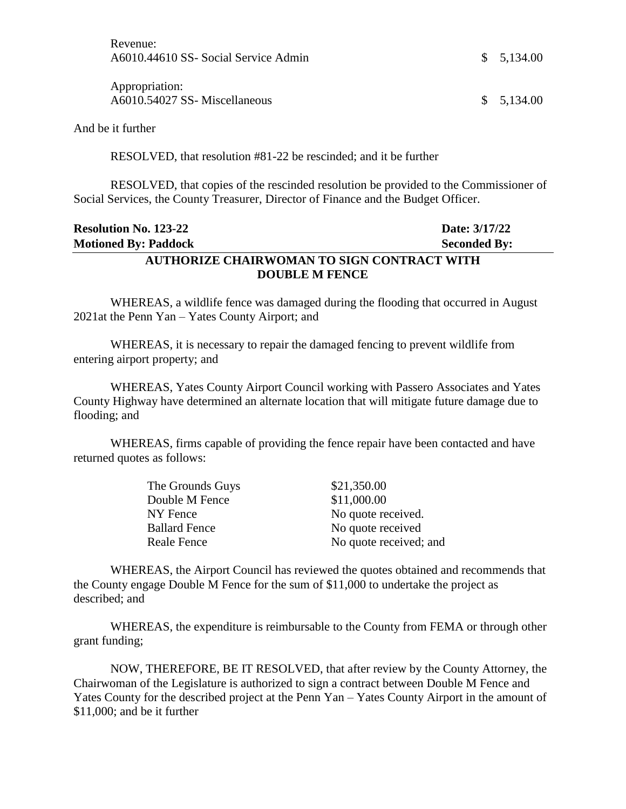| Revenue:                             |
|--------------------------------------|
| A6010.44610 SS- Social Service Admin |

Appropriation: A6010.54027 SS- Miscellaneous \$ 5,134.00

And be it further

RESOLVED, that resolution #81-22 be rescinded; and it be further

RESOLVED, that copies of the rescinded resolution be provided to the Commissioner of Social Services, the County Treasurer, Director of Finance and the Budget Officer.

## **Resolution No. 123-22 Date: 3/17/22 Motioned By: Paddock Seconded By: AUTHORIZE CHAIRWOMAN TO SIGN CONTRACT WITH DOUBLE M FENCE**

WHEREAS, a wildlife fence was damaged during the flooding that occurred in August 2021at the Penn Yan – Yates County Airport; and

WHEREAS, it is necessary to repair the damaged fencing to prevent wildlife from entering airport property; and

WHEREAS, Yates County Airport Council working with Passero Associates and Yates County Highway have determined an alternate location that will mitigate future damage due to flooding; and

WHEREAS, firms capable of providing the fence repair have been contacted and have returned quotes as follows:

| The Grounds Guys     | \$21,350.00            |
|----------------------|------------------------|
| Double M Fence       | \$11,000.00            |
| NY Fence             | No quote received.     |
| <b>Ballard Fence</b> | No quote received      |
| Reale Fence          | No quote received; and |

WHEREAS, the Airport Council has reviewed the quotes obtained and recommends that the County engage Double M Fence for the sum of \$11,000 to undertake the project as described; and

WHEREAS, the expenditure is reimbursable to the County from FEMA or through other grant funding;

NOW, THEREFORE, BE IT RESOLVED, that after review by the County Attorney, the Chairwoman of the Legislature is authorized to sign a contract between Double M Fence and Yates County for the described project at the Penn Yan – Yates County Airport in the amount of \$11,000; and be it further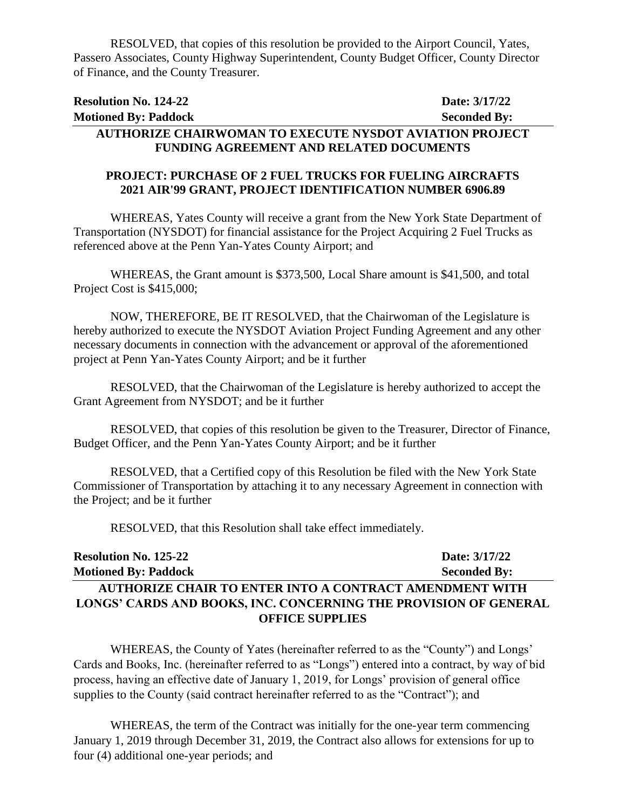RESOLVED, that copies of this resolution be provided to the Airport Council, Yates, Passero Associates, County Highway Superintendent, County Budget Officer, County Director of Finance, and the County Treasurer.

| <b>Resolution No. 124-22</b>                                   | Date: 3/17/22       |
|----------------------------------------------------------------|---------------------|
| <b>Motioned By: Paddock</b>                                    | <b>Seconded By:</b> |
| <b>AUTHORIZE CHAIRWOMAN TO EXECUTE NYSDOT AVIATION PROJECT</b> |                     |
| <b>FUNDING AGREEMENT AND RELATED DOCUMENTS</b>                 |                     |

#### **PROJECT: PURCHASE OF 2 FUEL TRUCKS FOR FUELING AIRCRAFTS 2021 AIR'99 GRANT, PROJECT IDENTIFICATION NUMBER 6906.89**

WHEREAS, Yates County will receive a grant from the New York State Department of Transportation (NYSDOT) for financial assistance for the Project Acquiring 2 Fuel Trucks as referenced above at the Penn Yan-Yates County Airport; and

WHEREAS, the Grant amount is \$373,500, Local Share amount is \$41,500, and total Project Cost is \$415,000;

NOW, THEREFORE, BE IT RESOLVED, that the Chairwoman of the Legislature is hereby authorized to execute the NYSDOT Aviation Project Funding Agreement and any other necessary documents in connection with the advancement or approval of the aforementioned project at Penn Yan-Yates County Airport; and be it further

RESOLVED, that the Chairwoman of the Legislature is hereby authorized to accept the Grant Agreement from NYSDOT; and be it further

RESOLVED, that copies of this resolution be given to the Treasurer, Director of Finance, Budget Officer, and the Penn Yan-Yates County Airport; and be it further

RESOLVED, that a Certified copy of this Resolution be filed with the New York State Commissioner of Transportation by attaching it to any necessary Agreement in connection with the Project; and be it further

RESOLVED, that this Resolution shall take effect immediately.

| <b>Resolution No. 125-22</b>                                     | Date: 3/17/22       |  |
|------------------------------------------------------------------|---------------------|--|
| <b>Motioned By: Paddock</b>                                      | <b>Seconded By:</b> |  |
| <b>AUTHORIZE CHAIR TO ENTER INTO A CONTRACT AMENDMENT WITH</b>   |                     |  |
| LONGS' CARDS AND BOOKS, INC. CONCERNING THE PROVISION OF GENERAL |                     |  |
| <b>OFFICE SUPPLIES</b>                                           |                     |  |

WHEREAS, the County of Yates (hereinafter referred to as the "County") and Longs' Cards and Books, Inc. (hereinafter referred to as "Longs") entered into a contract, by way of bid process, having an effective date of January 1, 2019, for Longs' provision of general office supplies to the County (said contract hereinafter referred to as the "Contract"); and

WHEREAS, the term of the Contract was initially for the one-year term commencing January 1, 2019 through December 31, 2019, the Contract also allows for extensions for up to four (4) additional one-year periods; and